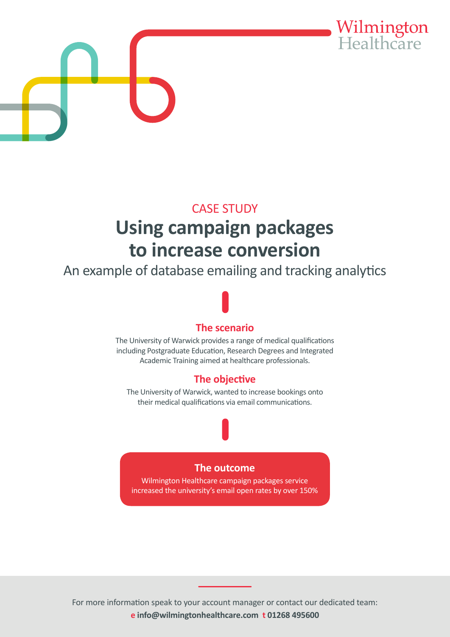



# CASE STUDY **Using campaign packages to increase conversion**

An example of database emailing and tracking analytics

## **The scenario**

The University of Warwick provides a range of medical qualifications including Postgraduate Education, Research Degrees and Integrated Academic Training aimed at healthcare professionals.

### **The objective**

The University of Warwick, wanted to increase bookings onto their medical qualifications via email communications.

### **The outcome**

Wilmington Healthcare campaign packages service increased the university's email open rates by over 150%

For more information speak to your account manager or contact our dedicated team: **e info@wilmingtonhealthcare.com t 01268 495600**